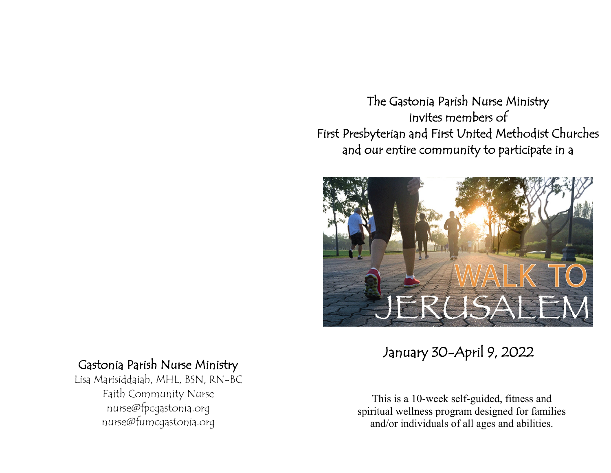The Gastonia Parish Nurse Ministry invites members of First Presbyterian and First United Methodist Churches and our entire community to participate in a



January 30-April 9, 2022

# Gastonia Parish Nurse Ministry

Lisa Marisiddaiah, MHL, BSN, RN-BC Faith Community Nurse nurse@fpcgastonia.org nurse@fumcgastonia.org

This is a 10-week self-guided, fitness and spiritual wellness program designed for families and/or individuals of all ages and abilities.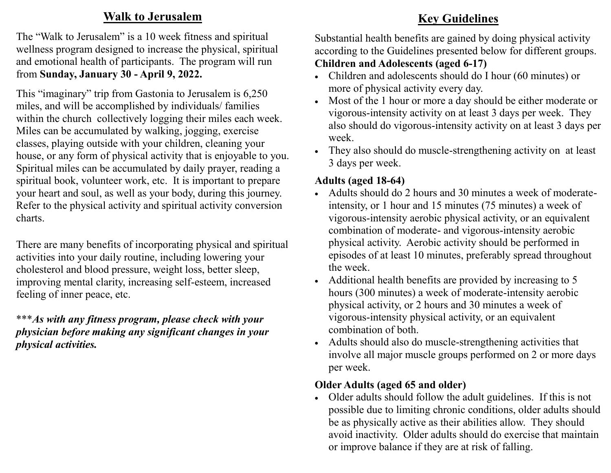# **Walk to Jerusalem**

The "Walk to Jerusalem" is a 10 week fitness and spiritual wellness program designed to increase the physical, spiritual and emotional health of participants. The program will run from **Sunday, January 30 - April 9, 2022.** 

This "imaginary" trip from Gastonia to Jerusalem is 6,250 miles, and will be accomplished by individuals/ families within the church collectively logging their miles each week. Miles can be accumulated by walking, jogging, exercise classes, playing outside with your children, cleaning your house, or any form of physical activity that is enjoyable to you. Spiritual miles can be accumulated by daily prayer, reading a spiritual book, volunteer work, etc. It is important to prepare your heart and soul, as well as your body, during this journey. Refer to the physical activity and spiritual activity conversion charts.

There are many benefits of incorporating physical and spiritual activities into your daily routine, including lowering your cholesterol and blood pressure, weight loss, better sleep, improving mental clarity, increasing self-esteem, increased feeling of inner peace, etc.

\*\*\**As with any fitness program, please check with your physician before making any significant changes in your physical activities.*

# **Key Guidelines**

Substantial health benefits are gained by doing physical activity according to the Guidelines presented below for different groups.

## **Children and Adolescents (aged 6-17)**

- Children and adolescents should do I hour (60 minutes) or more of physical activity every day.
- Most of the 1 hour or more a day should be either moderate or vigorous-intensity activity on at least 3 days per week. They also should do vigorous-intensity activity on at least 3 days per week.
- They also should do muscle-strengthening activity on at least 3 days per week.

# **Adults (aged 18-64)**

- Adults should do 2 hours and 30 minutes a week of moderateintensity, or 1 hour and 15 minutes (75 minutes) a week of vigorous-intensity aerobic physical activity, or an equivalent combination of moderate- and vigorous-intensity aerobic physical activity. Aerobic activity should be performed in episodes of at least 10 minutes, preferably spread throughout the week.
- Additional health benefits are provided by increasing to 5 hours (300 minutes) a week of moderate-intensity aerobic physical activity, or 2 hours and 30 minutes a week of vigorous-intensity physical activity, or an equivalent combination of both.
- Adults should also do muscle-strengthening activities that involve all major muscle groups performed on 2 or more days per week.

## **Older Adults (aged 65 and older)**

 Older adults should follow the adult guidelines. If this is not possible due to limiting chronic conditions, older adults should be as physically active as their abilities allow. They should avoid inactivity. Older adults should do exercise that maintain or improve balance if they are at risk of falling.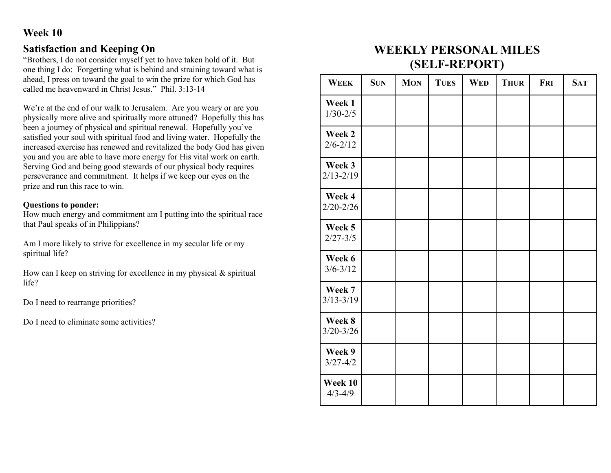#### **Satisfaction and Keeping On**

"Brothers, I do not consider myself yet to have taken hold of it. But one thing I do: Forgetting what is behind and straining toward what is ahead, I press on toward the goal to win the prize for which God has called me heavenward in Christ Jesus." Phil. 3:13-14

We're at the end of our walk to Jerusalem. Are you weary or are you physically more alive and spiritually more attuned? Hopefully this has been a journey of physical and spiritual renewal. Hopefully you've satisfied your soul with spiritual food and living water. Hopefully the increased exercise has renewed and revitalized the body God has given you and you are able to have more energy for His vital work on earth. Serving God and being good stewards of our physical body requires perseverance and commitment. It helps if we keep our eyes on the prize and run this race to win.

#### **Questions to ponder:**

How much energy and commitment am I putting into the spiritual race that Paul speaks of in Philippians?

Am I more likely to strive for excellence in my secular life or my spiritual life?

How can I keep on striving for excellence in my physical  $\&$  spiritual life?

Do I need to rearrange priorities?

Do I need to eliminate some activities?

# **WEEKLY PERSONAL MILES (SELF-REPORT)**

| <b>WEEK</b>             | <b>SUN</b> | <b>MON</b> | <b>TUES</b> | <b>WED</b> | <b>THUR</b> | <b>FRI</b> | <b>SAT</b> |
|-------------------------|------------|------------|-------------|------------|-------------|------------|------------|
| Week 1<br>$1/30 - 2/5$  |            |            |             |            |             |            |            |
| Week 2<br>$2/6 - 2/12$  |            |            |             |            |             |            |            |
| Week 3<br>$2/13 - 2/19$ |            |            |             |            |             |            |            |
| Week 4<br>$2/20 - 2/26$ |            |            |             |            |             |            |            |
| Week 5<br>$2/27 - 3/5$  |            |            |             |            |             |            |            |
| Week 6<br>$3/6 - 3/12$  |            |            |             |            |             |            |            |
| Week 7<br>$3/13 - 3/19$ |            |            |             |            |             |            |            |
| Week 8<br>$3/20 - 3/26$ |            |            |             |            |             |            |            |
| Week 9<br>$3/27 - 4/2$  |            |            |             |            |             |            |            |
| Week 10<br>$4/3 - 4/9$  |            |            |             |            |             |            |            |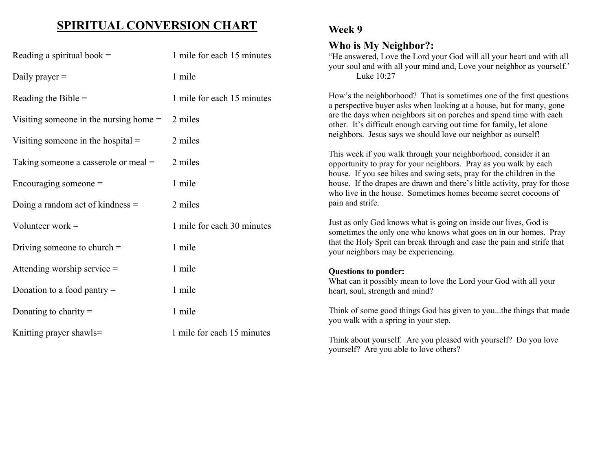# **SPIRITUAL CONVERSION CHART**

| Reading a spiritual book $=$             | 1 mile for each 15 minutes | Who is My Neighbor?:<br>"He answered, Love the Lord your God will all your heart and with all<br>your soul and with all your mind and, Love your neighbor as yourself.'                                                                                                                    |  |  |
|------------------------------------------|----------------------------|--------------------------------------------------------------------------------------------------------------------------------------------------------------------------------------------------------------------------------------------------------------------------------------------|--|--|
| Daily prayer $=$                         | 1 mile                     | Luke 10:27                                                                                                                                                                                                                                                                                 |  |  |
| Reading the Bible $=$                    | 1 mile for each 15 minutes | How's the neighborhood? That is sometimes one of the first questions<br>a perspective buyer asks when looking at a house, but for many, gone<br>are the days when neighbors sit on porches and spend time with each<br>other. It's difficult enough carving out time for family, let alone |  |  |
| Visiting someone in the nursing home $=$ | 2 miles                    |                                                                                                                                                                                                                                                                                            |  |  |
| Visiting someone in the hospital $=$     | 2 miles                    | neighbors. Jesus says we should love our neighbor as ourself!                                                                                                                                                                                                                              |  |  |
| Taking someone a casserole or meal =     | 2 miles                    | This week if you walk through your neighborhood, consider it an<br>opportunity to pray for your neighbors. Pray as you walk by each<br>house. If you see bikes and swing sets, pray for the children in the                                                                                |  |  |
| Encouraging someone $=$                  | 1 mile                     | house. If the drapes are drawn and there's little activity, pray for those<br>who live in the house. Sometimes homes become secret cocoons of<br>pain and strife.                                                                                                                          |  |  |
| Doing a random act of kindness $=$       | 2 miles                    |                                                                                                                                                                                                                                                                                            |  |  |
| Volunteer work $=$                       | 1 mile for each 30 minutes | Just as only God knows what is going on inside our lives, God is<br>sometimes the only one who knows what goes on in our homes. Pray                                                                                                                                                       |  |  |
| Driving someone to church $=$            | 1 mile                     | that the Holy Sprit can break through and ease the pain and strife that<br>your neighbors may be experiencing.                                                                                                                                                                             |  |  |
| Attending worship service $=$            | 1 mile                     | <b>Questions to ponder:</b>                                                                                                                                                                                                                                                                |  |  |
| Donation to a food pantry $=$            | 1 mile                     | What can it possibly mean to love the Lord your God with all your<br>heart, soul, strength and mind?                                                                                                                                                                                       |  |  |
| Donating to charity $=$                  | 1 mile                     | Think of some good things God has given to youthe things that made<br>you walk with a spring in your step.                                                                                                                                                                                 |  |  |
| Knitting prayer shawls=                  | 1 mile for each 15 minutes | Think about yourself. Are you pleased with yourself? Do you love<br>yourself? Are you able to love others?                                                                                                                                                                                 |  |  |

**Week 9**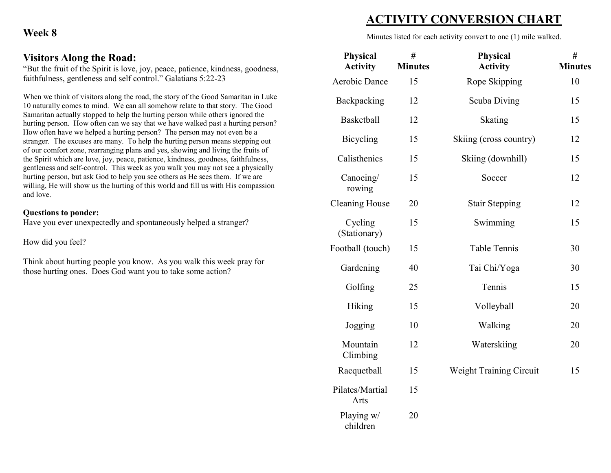## Visitors Along the Road:

"But the fruit of the Spirit is love, joy, peace, patience, kindness, goodness, faithfulness, gentleness and self control." Galatians 5:22-23

When we think of visitors along the road, the story of the Good Samaritan in Luke 10 naturally comes to mind. We can all somehow relate to that story. The Good Samaritan actually stopped to help the hurting person while others ignored the bantanan actuary stopped to help the nurting person while others ignoted the hurting person. How often can we say that we have walked past a hurting person? How often have we helped a hurting person? The person may not even be a stranger. The excuses are many. To help the hurting person means stepping out of our comfort zone, rearranging plans and yes, showing and living the fruits of the Spirit which are love, joy, peace, patience, kindness, goodness, faithfulness, gentleness and self-control. This week as you walk you may not see a physically hurting person, but ask God to help you see others as He sees them. If we are willing, He will show us the hurting of this world and fill us with His compassion willing. and love.

#### **Questions to ponder:**

Have you ever unexpectedly and spontaneously helped a stranger?

How did you feel?  $10w$  and you foot:

Think about hurting people you know. As you walk this week pray for those hurting ones. Does God want you to take some action?

# **ACTIVITY CONVERSION CHART**

Minutes listed for each activity convert to one (1) mile walked.

| Physical<br><b>Activity</b> | #<br><b>Minutes</b> | <b>Physical</b><br><b>Activity</b> | #<br><b>Minutes</b> |
|-----------------------------|---------------------|------------------------------------|---------------------|
| <b>Aerobic Dance</b>        | 15                  | Rope Skipping                      | 10                  |
| Backpacking                 | 12                  | Scuba Diving                       | 15                  |
| <b>Basketball</b>           | 12                  | Skating                            | 15                  |
| Bicycling                   | 15                  | Skiing (cross country)             | 12                  |
| Calisthenics                | 15                  | Skiing (downhill)                  | 15                  |
| Canoeing/<br>rowing         | 15                  | Soccer                             | 12                  |
| <b>Cleaning House</b>       | 20                  | <b>Stair Stepping</b>              | 12                  |
| Cycling<br>(Stationary)     | 15                  | Swimming                           | 15                  |
| Football (touch)            | 15                  | <b>Table Tennis</b>                | 30                  |
| Gardening                   | 40                  | Tai Chi/Yoga                       | 30                  |
| Golfing                     | 25                  | Tennis                             | 15                  |
| <b>Hiking</b>               | 15                  | Volleyball                         | 20                  |
| Jogging                     | 10                  | Walking                            | 20                  |
| Mountain<br>Climbing        | 12                  | Waterskiing                        | 20                  |
| Racquetball                 | 15                  | Weight Training Circuit            | 15                  |
| Pilates/Martial<br>Arts     | 15                  |                                    |                     |
| Playing w/<br>children      | 20                  |                                    |                     |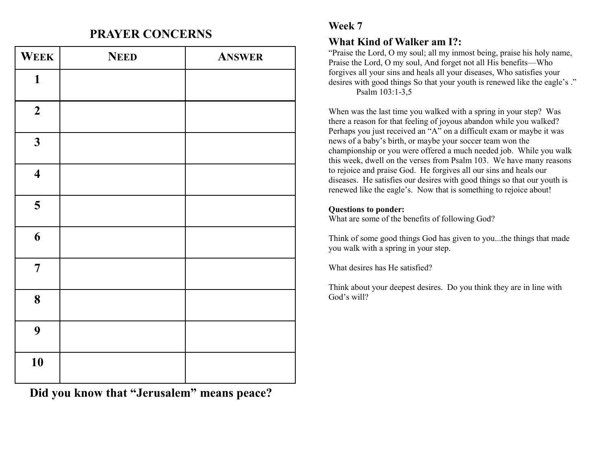# **PRAYER CONCERNS**

| WEEK                    | <b>NEED</b> | <b>ANSWER</b> |
|-------------------------|-------------|---------------|
| $\mathbf{1}$            |             |               |
| $\boldsymbol{2}$        |             |               |
| $\mathbf{3}$            |             |               |
| $\overline{\mathbf{4}}$ |             |               |
| 5                       |             |               |
| 6                       |             |               |
| $\overline{7}$          |             |               |
| 8                       |             |               |
| 9                       |             |               |
| 10                      |             |               |

**Did you know that "Jerusalem" means peace?**

## **Week 7**

#### **What Kind of Walker am I?:**

"Praise the Lord, O my soul; all my inmost being, praise his holy name, Praise the Lord, O my soul, And forget not all His benefits—Who forgives all your sins and heals all your diseases, Who satisfies your desires with good things So that your youth is renewed like the eagle's ." Psalm 103:1-3,5

When was the last time you walked with a spring in your step? Was there a reason for that feeling of joyous abandon while you walked? Perhaps you just received an "A" on a difficult exam or maybe it was news of a baby's birth, or maybe your soccer team won the championship or you were offered a much needed job. While you walk this week, dwell on the verses from Psalm 103. We have many reasons to rejoice and praise God. He forgives all our sins and heals our diseases. He satisfies our desires with good things so that our youth is renewed like the eagle's. Now that is something to rejoice about!

#### **Questions to ponder:**

What are some of the benefits of following God?

Think of some good things God has given to you...the things that made you walk with a spring in your step.

What desires has He satisfied?

Think about your deepest desires. Do you think they are in line with God's will?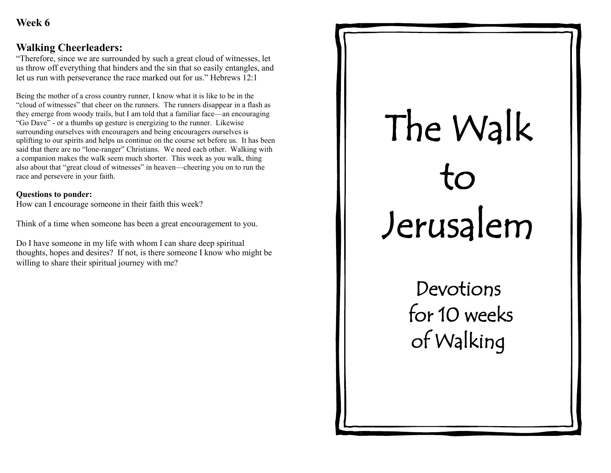#### **Walking Cheerleaders:**

"Therefore, since we are surrounded by such a great cloud of witnesses, let us throw off everything that hinders and the sin that so easily entangles, and let us run with perseverance the race marked out for us." Hebrews 12:1

Being the mother of a cross country runner, I know what it is like to be in the "cloud of witnesses" that cheer on the runners. The runners disappear in a flash as they emerge from woody trails, but I am told that a familiar face—an encouraging "Go Dave" - or a thumbs up gesture is energizing to the runner. Likewise surrounding ourselves with encouragers and being encouragers ourselves is uplifting to our spirits and helps us continue on the course set before us. It has been said that there are no "lone-ranger" Christians. We need each other. Walking with a companion makes the walk seem much shorter. This week as you walk, thing also about that "great cloud of witnesses" in heaven—cheering you on to run the race and persevere in your faith.

#### **Questions to ponder:**

How can I encourage someone in their faith this week?

Think of a time when someone has been a great encouragement to you.

Do I have someone in my life with whom I can share deep spiritual thoughts, hopes and desires? If not, is there someone I know who might be willing to share their spiritual journey with me?

# The Walk to Jerusalem

Devotions for 10 weeks of Walking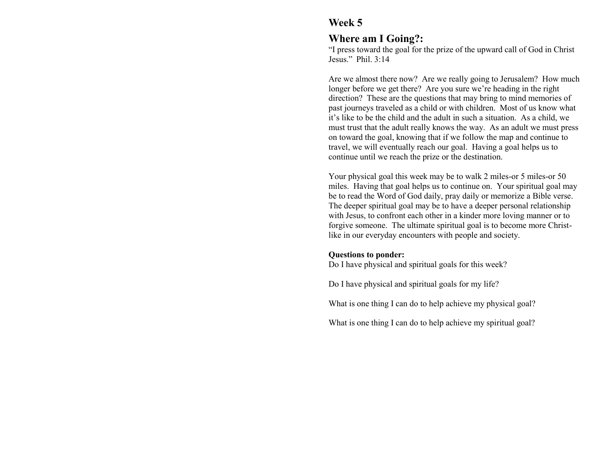#### **Where am I Going?:**

"I press toward the goal for the prize of the upward call of God in Christ Jesus." Phil. 3:14

Are we almost there now? Are we really going to Jerusalem? How much longer before we get there? Are you sure we're heading in the right direction? These are the questions that may bring to mind memories of past journeys traveled as a child or with children. Most of us know what it's like to be the child and the adult in such a situation. As a child, we must trust that the adult really knows the way. As an adult we must press on toward the goal, knowing that if we follow the map and continue to travel, we will eventually reach our goal. Having a goal helps us to continue until we reach the prize or the destination.

Your physical goal this week may be to walk 2 miles-or 5 miles-or 50 miles. Having that goal helps us to continue on. Your spiritual goal may be to read the Word of God daily, pray daily or memorize a Bible verse. The deeper spiritual goal may be to have a deeper personal relationship with Jesus, to confront each other in a kinder more loving manner or to forgive someone. The ultimate spiritual goal is to become more Christlike in our everyday encounters with people and society.

#### **Questions to ponder:**

Do I have physical and spiritual goals for this week?

Do I have physical and spiritual goals for my life?

What is one thing I can do to help achieve my physical goal?

What is one thing I can do to help achieve my spiritual goal?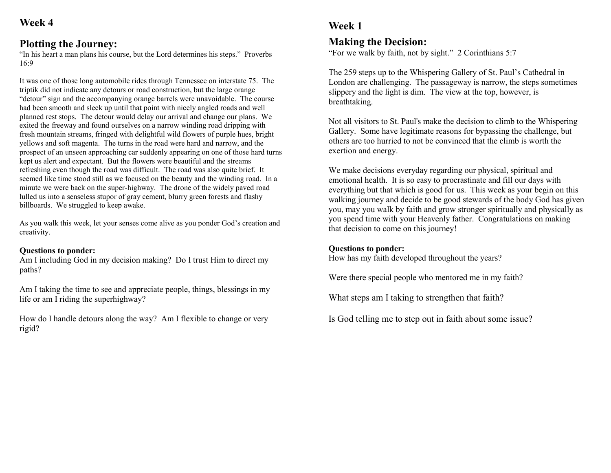#### **Plotting the Journey:**

"In his heart a man plans his course, but the Lord determines his steps." Proverbs 16:9

It was one of those long automobile rides through Tennessee on interstate 75. The triptik did not indicate any detours or road construction, but the large orange "detour" sign and the accompanying orange barrels were unavoidable. The course had been smooth and sleek up until that point with nicely angled roads and well planned rest stops. The detour would delay our arrival and change our plans. We exited the freeway and found ourselves on a narrow winding road dripping with fresh mountain streams, fringed with delightful wild flowers of purple hues, bright yellows and soft magenta. The turns in the road were hard and narrow, and the prospect of an unseen approaching car suddenly appearing on one of those hard turns kept us alert and expectant. But the flowers were beautiful and the streams refreshing even though the road was difficult. The road was also quite brief. It seemed like time stood still as we focused on the beauty and the winding road. In a minute we were back on the super-highway. The drone of the widely paved road lulled us into a senseless stupor of gray cement, blurry green forests and flashy billboards. We struggled to keep awake.

As you walk this week, let your senses come alive as you ponder God's creation and creativity.

#### **Questions to ponder:**

Am I including God in my decision making? Do I trust Him to direct my paths?

Am I taking the time to see and appreciate people, things, blessings in my life or am I riding the superhighway?

How do I handle detours along the way? Am I flexible to change or very rigid?

# **Week 1**

#### **Making the Decision:**

"For we walk by faith, not by sight." 2 Corinthians 5:7

The 259 steps up to the Whispering Gallery of St. Paul's Cathedral in London are challenging. The passageway is narrow, the steps sometimes slippery and the light is dim. The view at the top, however, is breathtaking.

Not all visitors to St. Paul's make the decision to climb to the Whispering Gallery. Some have legitimate reasons for bypassing the challenge, but others are too hurried to not be convinced that the climb is worth the exertion and energy.

We make decisions everyday regarding our physical, spiritual and emotional health. It is so easy to procrastinate and fill our days with everything but that which is good for us. This week as your begin on this walking journey and decide to be good stewards of the body God has given you, may you walk by faith and grow stronger spiritually and physically as you spend time with your Heavenly father. Congratulations on making that decision to come on this journey!

#### **Questions to ponder:**

How has my faith developed throughout the years?

Were there special people who mentored me in my faith?

What steps am I taking to strengthen that faith?

Is God telling me to step out in faith about some issue?